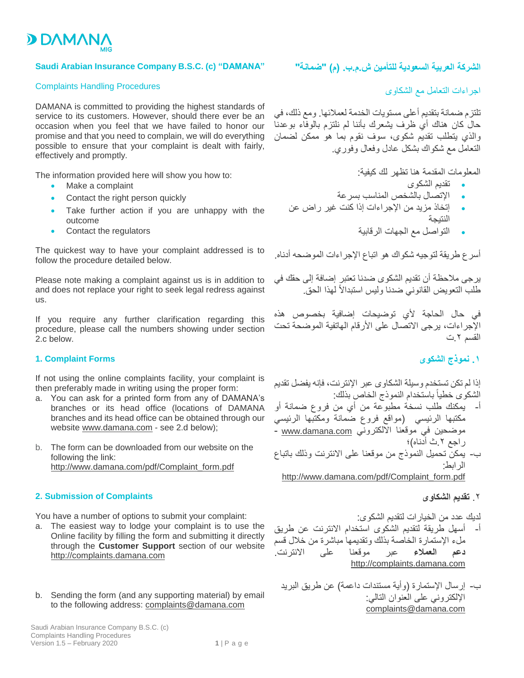

### **Saudi Arabian Insurance Company B.S.C. (c) "DAMANA"**

#### Complaints Handling Procedures

DAMANA is committed to providing the highest standards of service to its customers. However, should there ever be an occasion when you feel that we have failed to honor our promise and that you need to complain, we will do everything possible to ensure that your complaint is dealt with fairly, effectively and promptly.

The information provided here will show you how to:

- Make a complaint
- Contact the right person quickly
- Take further action if you are unhappy with the outcome
- Contact the regulators

The quickest way to have your complaint addressed is to follow the procedure detailed below.

Please note making a complaint against us is in addition to and does not replace your right to seek legal redress against us.

If you require any further clarification regarding this procedure, please call the numbers showing under section 2.c below.

#### **1. Complaint Forms**

If not using the online complaints facility, your complaint is then preferably made in writing using the proper form:

- a. You can ask for a printed form from any of DAMANA's branches or its head office (locations of DAMANA branches and its head office can be obtained through our website www.damana.com - see 2.d below);
- b. The form can be downloaded from our website on the following the link: http://www.damana.com/pdf/Complaint\_form.pdf

#### **2. Submission of Complaints**

You have a number of options to submit your complaint:

- a. The easiest way to lodge your complaint is to use the Online facility by filling the form and submitting it directly through the **Customer Support** section of our website http://complaints.damana.com
- b. Sending the form (and any supporting material) by email to the following address: complaints@damana.com

# **الشركة العربية السعودية للتأمين ش.م.ب. )م( "ضمانة"**

اجراءات التعامل مع الشكاوى

تلتزم ضمانة بتقديم أعلى مستويات الخدمة لعمالئها. ومع ذلك، في حال كان هناك أي ظرف يشعرك بأننا لم نلتزم بالوفاء بوعدنا والذي يتطلب تقديم شكوى، سوف نقوم بما هو ممكن لضمان التعامل مع شكواك بشكل عادل وفعال وفوري.

المعلومات المقدمة هنا تظهر لك كيفية:

- تقديم الشكوى
- اإلتصال بالشخص المناسب بسرعة
- إتخاذ مزيد من اإلجراءات إذا كنت غير راض عن النتيجة
	- التواصل مع الجهات الرقابية

أسرع طريقة لتوجيه شكواك هو اتباع اإلجراءات الموضحه أدناه.

يرجى مالحظة أن تقديم الشكوى ضدنا تعتبر إضافة إلى حقك في طلب التعويض القانوني ضدنا وليس استبدالأ لهذا الحق.

في حال الحاجة ألي توضيحات إضافية بخصوص هذه الإجراءات، يرجى الاتصال على الأرقام الهاتفية الموضحة تحت القسم ٢ ت

**.1 نموذج الشكوى**

إذا لم تكن تستخدم وسيلة الشكاوى عبر اإلنترنت، فإنه يفضل تقديم الشكوى خطياً باستخدام النموذج الخاص بذلك:

أ- يمكنك طلب نسخة مطبوعة من أي من فروع ضمانة أو مكتبها الرئيسي )مواقع فروع ضمانة ومكتبها الرئيسي موضحين في موقعنا الآلكتروني ww<u>w.damana.com</u> -راجع ٢ ث أدناه)؛ ب- يمكن تحميل النموذج من موقعنا على االنترنت وذلك باتباع الرابط:

[http://www.damana.com/pdf/Complaint\\_form.pdf](http://www.damana.com/pdf/Complaint_form.pdf)

## .2 **تقديم الشكاوى**

لديك عدد من الخيارات لتقديم الشكوى:

- أ- أسهل طريقة لتقديم الشكوى استخدام االنترنت عن طريق ملء اإلستمارة الخاصة بذلك وتقديمها مباشرة من خالل قسم **دعم العمالء** عبر موقعنا على االنترنت. [http://complaints.damana.com](http://complaints.damana.com/)
	- ب- إرسال الإستمارة (وأية مستندات داعمة) عن طريق البريد اإللكتروني على العنوان التالي: [complaints@damana.com](mailto:complaints@damana.com)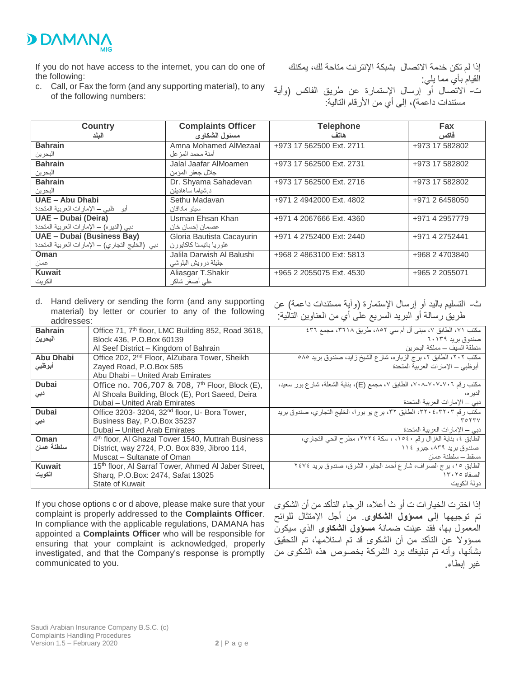

If you do not have access to the internet, you can do one of the following:

c. Call, or Fax the form (and any supporting material), to any of the following numbers:

إذا لم تكن خدمة االتصال بشبكة اإلنترنت متاحة لك، يمكنك القيام بأي مما يلي:

ت- االتصال أو إرسال اإلستمارة عن طريق الفاكس )وأية مستندات داعمة)، إلى أي من الأرقام التالية:

| <b>Country</b>                                  | <b>Complaints Officer</b> | <b>Telephone</b>         | Fax            |
|-------------------------------------------------|---------------------------|--------------------------|----------------|
| البلد                                           | مسئول الشكاوى             | هاتف                     | فاكس           |
| <b>Bahrain</b>                                  | Amna Mohamed AlMezaal     | +973 17 562500 Ext. 2711 | +973 17 582802 |
| البحرين                                         | آمنة محمد المز عل         |                          |                |
| <b>Bahrain</b>                                  | Jalal Jaafar AlMoamen     | +973 17 562500 Ext. 2731 | +973 17 582802 |
| البحرين                                         | جلال جعفر المؤمن          |                          |                |
| <b>Bahrain</b>                                  | Dr. Shyama Sahadevan      | +973 17 562500 Ext. 2716 | +973 17 582802 |
| البحرين                                         | د شياما ساهاديفن          |                          |                |
| UAE - Abu Dhabi                                 | Sethu Madavan             | +971 2 4942000 Ext. 4802 | +971 2 6458050 |
| أبو ظبي – الإمارات العربية المتحدة              | سيتو مادافان              |                          |                |
| UAE - Dubai (Deira)                             | Usman Ehsan Khan          | +971 4 2067666 Ext. 4360 | +971 4 2957779 |
| دبي (الديره) - الإمارات العربية المتحدة         | عصمان إحسان خان           |                          |                |
| UAE - Dubai (Business Bay)                      | Gloria Bautista Cacayurin | +971 4 2752400 Ext: 2440 | +971 4 2752441 |
| دبي (الخليج التجاري) – الإمارات العربية المتحدة | غلوريا باتيستا كاكايورن   |                          |                |
| Oman                                            | Jalila Darwish Al Balushi | +968 2 4863100 Ext: 5813 | +968 2 4703840 |
| عمان                                            | جليلة درويش البلوشي       |                          |                |
| <b>Kuwait</b>                                   | Aliasgar T.Shakir         | +965 2 2055075 Ext. 4530 | +965 2 2055071 |
| الکو بت                                         | على أصغر شاكر             |                          |                |

- d. Hand delivery or sending the form (and any supporting material) by letter or courier to any of the following addresses:
- ث- التسليم باليد أو إرسال الإستمارة (وأية مستندات داعمة) عن طريق رسالة أو البريد السريع على أي من العناوين التالية:

| auurcooco.       |                                                                |                                                                        |  |
|------------------|----------------------------------------------------------------|------------------------------------------------------------------------|--|
| <b>Bahrain</b>   | Office 71, 7 <sup>th</sup> floor, LMC Building 852, Road 3618, | مكتب ٧١، الطابق ٧، مبنى أل أم سي ٨٥٢، طريق ٣٦١٨، مجمع ٤٣٦              |  |
| البحرين          | Block 436, P.O.Box 60139                                       | صندوق بر بد ٦٠١٣٩                                                      |  |
|                  | Al Seef District - Kingdom of Bahrain                          | منطقة السبف ــ مملكة البحر بن                                          |  |
| <b>Abu Dhabi</b> | Office 202, 2 <sup>nd</sup> Floor, AlZubara Tower, Sheikh      | مكتب ٢٠٢، الطابق ٢، برج الزباره، شارع الشيخ زايد، صندوق بريد ٥٨٥       |  |
| أبوظبى           | Zayed Road, P.O.Box 585                                        | أبو ظبي – الإمار ات العر بية المتحدة                                   |  |
|                  | Abu Dhabi - United Arab Emirates                               |                                                                        |  |
| <b>Dubai</b>     | Office no. 706,707 & 708, 7 <sup>th</sup> Floor, Block (E),    | مكتب رقم ٧٠٦-٧٠٧-٧٠٨، الطابق ٧، مجمع (E)، بناية الشعلة، شارع بور سعيد، |  |
| نبی              | Al Shoala Building, Block (E), Port Saeed, Deira               | الدبر ہ،                                                               |  |
|                  | Dubai - United Arab Emirates                                   | دبي – الإمارات العربية المتحدة                                         |  |
| <b>Dubai</b>     | Office 3203-3204, 32 <sup>nd</sup> floor, U- Bora Tower,       | مكتب رقم ٣٢٠٢-٢٢٠٤، الطابق ٣٢، برج يو بورا، الخليج التجاري، صندوق بريد |  |
| دبی              | Business Bay, P.O.Box 35237                                    | ۳۵۲۳۷                                                                  |  |
|                  | Dubai - United Arab Emirates                                   | دبي — الإمار ات العربية المتحدة                                        |  |
| Oman             | 4 <sup>th</sup> floor, Al Ghazal Tower 1540, Muttrah Business  | الطابق ٤، بناية الغزال رقم ١٥٤٠، ، سكة ٢٧٢٤، مطرح الحي التجاري،        |  |
| سلطنة عمان       | District, way 2724, P.O. Box 839, Jibroo 114,                  | صندوق برید ۸۳۹، جبر و ۱۱٤                                              |  |
|                  | Muscat - Sultanate of Oman                                     | مسقط ــ سلطنة عمان                                                     |  |
| <b>Kuwait</b>    | 15th floor, Al Sarraf Tower, Ahmed Al Jaber Street,            | الطابق ١٥، برج الصراف، شارع أحمد الجابر، الشرق، صندوق بريد ٢٤٧٤        |  |
| الكويت           | Sharq, P.O.Box: 2474, Safat 13025                              | الصفاة ١٣٠٢٥                                                           |  |
|                  | <b>State of Kuwait</b>                                         | دو لة الكوبت                                                           |  |

If you chose options c or d above, please make sure that your complaint is properly addressed to the **Complaints Officer**. In compliance with the applicable regulations, DAMANA has appointed a **Complaints Officer** who will be responsible for ensuring that your complaint is acknowledged, properly investigated, and that the Company's response is promptly communicated to you.

إذا اخترت الخيارات ت أو ث أعاله، الرجاء التأكد من أن الشكوى تم توجيهها إلى **مسؤول الشكاوى**. من أجل اإلمتثال للوائح المعمول بها، فقد عينت ضمانة **مسؤول الشكاوى** الذي سيكون مسؤوال عن التأكد من أن الشكوى قد تم استالمها، تم التحقيق بشأنها، وأنه تم تبليغك برد الشركة بخصوص هذه الشكوى من غير إبطاء.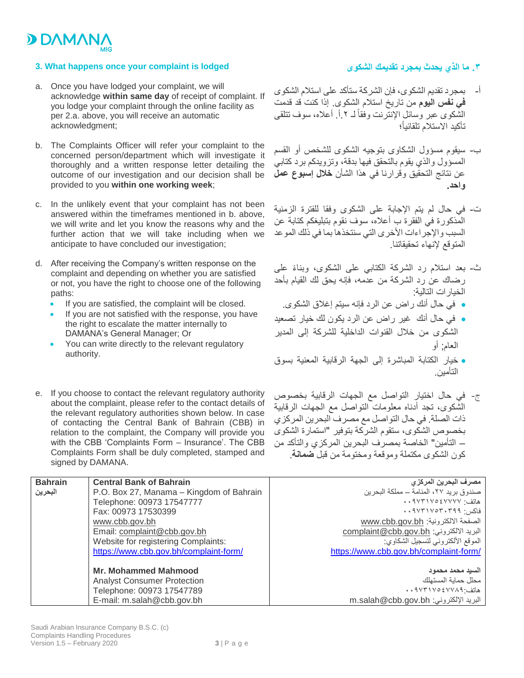

### **3. What happens once your complaint is lodged**

- a. Once you have lodged your complaint, we will acknowledge **within same day** of receipt of complaint. If you lodge your complaint through the online facility as per 2.a. above, you will receive an automatic acknowledgment;
- b. The Complaints Officer will refer your complaint to the concerned person/department which will investigate it thoroughly and a written response letter detailing the outcome of our investigation and our decision shall be provided to you **within one working week**;
- c. In the unlikely event that your complaint has not been answered within the timeframes mentioned in b. above, we will write and let you know the reasons why and the further action that we will take including when we anticipate to have concluded our investigation;
- d. After receiving the Company's written response on the complaint and depending on whether you are satisfied or not, you have the right to choose one of the following paths:
	- **If you are satisfied, the complaint will be closed.**
	- If you are not satisfied with the response, you have the right to escalate the matter internally to DAMANA's General Manager; Or
	- You can write directly to the relevant regulatory authority.
- e. If you choose to contact the relevant regulatory authority about the complaint, please refer to the contact details of the relevant regulatory authorities shown below. In case of contacting the Central Bank of Bahrain (CBB) in relation to the complaint, the Company will provide you with the CBB 'Complaints Form – Insurance'. The CBB Complaints Form shall be duly completed, stamped and signed by DAMANA.

# **.3 ما الذي يحدث بمجرد تقديمك الشكوى**

- أ- بمجرد تقديم الشكوى، فإن الشركة ستأكد على استالم الشكوى **في نفس اليوم** من تاريخ استالم الشكوى. إذا كنت قد قدمت الشكوى عبر وسائل الإنترنت وفقأ لـ ٢ أ. أعلاه، سوف تتلقى تأكيد االستالم تلقائياً؛
- ب- سيقوم مسؤول الشكاوى بتوجيه الشكوى للشخص أو القسم المسؤول والذي يقوم بالتحقق فيها بدقة، وتزويدكم برد كتابي عن نتائج التحقيق وقرارنا في هذا الشأن **خالل إسبوع عمل واحد.**
- ت- في حال لم يتم اإلجابة على الشكوى وفقا للفترة الزمنية المذكورة في الفقرة ب أعاله، سوف نقوم بتبليغكم كتابة عن السبب والإجراءات الأخرى التي سنتخذها بما في ذلك الموعد المتوقع إلنهاء تحقيقاتنا.
- ث- بعد استلام رد الشركة الكتابي على الشكوى، وبناءً على رضاك عن رد الشركة من عدمه، فإنه يحق لك القيام بأحد الخيارات التالية:
	- في حال أنك راض عن الرد فإنه سيتم إغالق الشكوى.
- في حال أنك غير راض عن الرد يكون لك خيار تصعيد الشكوى من خالل القنوات الداخلية للشركة إلى المدير العام; أو
- خيار الكتابة المباشرة إلى الجهة الرقابية المعنية بسوق التأمين.
- ج- في حال اختيار التواصل مع الجهات الرقابية بخصوص الشكوى، تجد أدناه معلومات التواصل مع الجهات الرقابية ذات الصلة. في حال التواصل مع مصرف البحرين المركزي بخصوص الشكوى، ستقوم الشركة بتوفير "استمارة الشكوى – التأمين" الخاصة بمصرف البحرين المركزي والتأكد من كون الشكوى مكتملة وموقعة ومختومة من قبل **ضمانة**.

| <b>Bahrain</b> | <b>Central Bank of Bahrain</b>           | مصرف البحرين المركزي                                                                                       |
|----------------|------------------------------------------|------------------------------------------------------------------------------------------------------------|
| البحرين        | P.O. Box 27, Manama – Kingdom of Bahrain | صندو ق بر يد ٢٧، المنامة ــ مملكة البحر ين                                                                 |
|                | Telephone: 00973 17547777                | هاتف ۹۷۳۱۷٥٤٧٧٧٧٠ .                                                                                        |
|                | Fax: 00973 17530399                      | $\cdot \cdot$ 173 - 174 - 174 - 184 - 184 - 184 - 184 - 184 - 184 - 184 - 184 - 184 - 184 - 184 - 184 - 18 |
|                | www.cbb.gov.bh                           | الصفحة الالكترونية: www.cbb.gov.bh                                                                         |
|                | Email: complaint@cbb.gov.bh              | البريد الالكتروني: complaint@cbb.gov.bh                                                                    |
|                | Website for registering Complaints:      | الموقع الألكتروني لتسجيل الشكاوي:                                                                          |
|                | https://www.cbb.gov.bh/complaint-form/   | https://www.cbb.gov.bh/complaint-form/                                                                     |
|                |                                          |                                                                                                            |
|                | <b>Mr. Mohammed Mahmood</b>              | السبد محمد محمود                                                                                           |
|                | <b>Analyst Consumer Protection</b>       | محلل حماية المستهلك                                                                                        |
|                | Telephone: 00973 17547789                | هاتف: ٩٧٣١٧٥٤٧٧٨٩. •                                                                                       |
|                | E-mail: m.salah@cbb.gov.bh               | m.salah@cbb.gov.bh البريد الإلكتروني:                                                                      |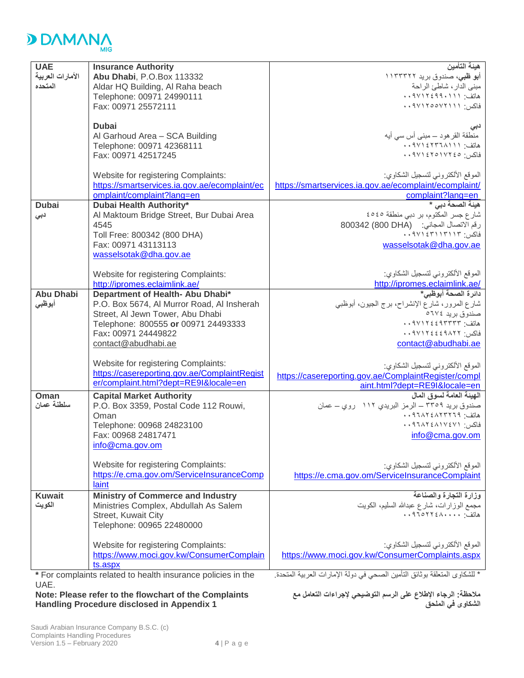

| <b>UAE</b>                                                                                                                                | <b>Insurance Authority</b>                            | هيئة التأمين                                                       |  |  |
|-------------------------------------------------------------------------------------------------------------------------------------------|-------------------------------------------------------|--------------------------------------------------------------------|--|--|
| الأمارات العربية                                                                                                                          | Abu Dhabi, P.O.Box 113332                             | أ <b>بو ظبی</b> ، صندوق برید ۱۱۳۳۳۲۲                               |  |  |
| المتحده                                                                                                                                   | Aldar HQ Building, Al Raha beach                      | مبنى الدار، شاطئ الراحة                                            |  |  |
|                                                                                                                                           | Telephone: 00971 24990111                             | هاتف: ۰،۹۷۱۲٤۹۹۰۱۱۱                                                |  |  |
|                                                                                                                                           | Fax: 00971 25572111                                   | فاكس: ٩٧١٢٥٥٧٢١١١.                                                 |  |  |
|                                                                                                                                           |                                                       |                                                                    |  |  |
|                                                                                                                                           | <b>Dubai</b>                                          | دبي                                                                |  |  |
|                                                                                                                                           | Al Garhoud Area - SCA Building                        | منطقة القر هود ـــ مبنى أس سى أيه                                  |  |  |
|                                                                                                                                           | Telephone: 00971 42368111                             | هاتف: ۰، ۹۷۱ ٤٢٣٦ ۸۰۰                                              |  |  |
|                                                                                                                                           | Fax: 00971 42517245                                   | فاكس: ١٧٢٤٥١٧٢٤٥                                                   |  |  |
|                                                                                                                                           |                                                       |                                                                    |  |  |
|                                                                                                                                           | Website for registering Complaints:                   | الموقع الألكتروني لتسجيل الشكاوي:                                  |  |  |
|                                                                                                                                           | https://smartservices.ia.gov.ae/ecomplaint/ec         | https://smartservices.ia.gov.ae/ecomplaint/ecomplaint/             |  |  |
|                                                                                                                                           | omplaint/complaint?lang=en                            | complaint?lang=en                                                  |  |  |
| <b>Dubai</b>                                                                                                                              | Dubai Health Authority*                               | هيئة الصحة دبي *                                                   |  |  |
|                                                                                                                                           |                                                       | شارع جسر المكتوم، بر دبي منطقة ٤٥٤٥                                |  |  |
| دبی                                                                                                                                       | Al Maktoum Bridge Street, Bur Dubai Area              |                                                                    |  |  |
|                                                                                                                                           | 4545                                                  | رقم الاتصال المجاني: (800 800342 800342)                           |  |  |
|                                                                                                                                           | Toll Free: 800342 (800 DHA)                           |                                                                    |  |  |
|                                                                                                                                           | Fax: 00971 43113113                                   | wasselsotak@dha.gov.ae                                             |  |  |
|                                                                                                                                           | wasselsotak@dha.gov.ae                                |                                                                    |  |  |
|                                                                                                                                           |                                                       |                                                                    |  |  |
|                                                                                                                                           | Website for registering Complaints:                   | الموقع الألكتروني لتسجيل الشكاوي:<br>http://ipromes.eclaimlink.ae/ |  |  |
| <b>Abu Dhabi</b>                                                                                                                          | http://ipromes.eclaimlink.ae/                         | دائرة الصحة أبوظبي*                                                |  |  |
|                                                                                                                                           | Department of Health- Abu Dhabi*                      |                                                                    |  |  |
| أبوظبى                                                                                                                                    | P.O. Box 5674, Al Murror Road, Al Insherah            | شارع المرور، شارع الإنشراح، برج الجيون، أبوظبي                     |  |  |
|                                                                                                                                           | Street, Al Jewn Tower, Abu Dhabi                      | صندوق بريد ٢٧٤ه                                                    |  |  |
|                                                                                                                                           | Telephone: 800555 or 00971 24493333                   | ۰۰۹۷۱۲٤٤٩٣٣٣٣ :                                                    |  |  |
|                                                                                                                                           | Fax: 00971 24449822                                   | فاكس: ٩٧١٢٤٤٤٩٨٢٢.                                                 |  |  |
|                                                                                                                                           | contact@abudhabi.ae                                   | contact@abudhabi.ae                                                |  |  |
|                                                                                                                                           | Website for registering Complaints:                   |                                                                    |  |  |
|                                                                                                                                           | https://casereporting.gov.ae/ComplaintRegist          | الموقع الألكتروني لتسجيل الشكاوي:                                  |  |  |
|                                                                                                                                           | er/complaint.html?dept=RE9I&locale=en                 | https://casereporting.gov.ae/ComplaintRegister/compl               |  |  |
|                                                                                                                                           |                                                       | aint.html?dept=RE9I&locale=en                                      |  |  |
| Oman                                                                                                                                      | <b>Capital Market Authority</b>                       | الـهيئـة الـعامـة لسوق المال                                       |  |  |
| سلطنة عمان                                                                                                                                | P.O. Box 3359, Postal Code 112 Rouwi,                 | صندوق بريد ٣٣٥٩ ــ الرمز البريدي ١١٢ روي ــ عمان                   |  |  |
|                                                                                                                                           | Oman                                                  | هاتف: ٩٦٦٨٢٤٨٢٣٢٦٩.                                                |  |  |
|                                                                                                                                           | Telephone: 00968 24823100                             | فاكس: ٩٦٨٧٤٧١، ٩٦٨٢٤                                               |  |  |
|                                                                                                                                           | Fax: 00968 24817471                                   | info@cma.gov.om                                                    |  |  |
|                                                                                                                                           | info@cma.gov.om                                       |                                                                    |  |  |
|                                                                                                                                           |                                                       |                                                                    |  |  |
|                                                                                                                                           | Website for registering Complaints:                   | الموقع الألكتروني لتسجيل الشكاوي:                                  |  |  |
|                                                                                                                                           | https://e.cma.gov.om/ServiceInsuranceComp             | https://e.cma.gov.om/ServiceInsuranceComplaint                     |  |  |
|                                                                                                                                           | laint                                                 |                                                                    |  |  |
| <b>Kuwait</b>                                                                                                                             | <b>Ministry of Commerce and Industry</b>              | وزارة التجارة والصناعة                                             |  |  |
| الكويت                                                                                                                                    | Ministries Complex, Abdullah As Salem                 | مجمع الوزارات، شارع عبدالله السليم، الكويت                         |  |  |
|                                                                                                                                           | Street, Kuwait City                                   |                                                                    |  |  |
|                                                                                                                                           | Telephone: 00965 22480000                             |                                                                    |  |  |
|                                                                                                                                           |                                                       |                                                                    |  |  |
|                                                                                                                                           | Website for registering Complaints:                   | الموقع الألكتروني لتسجيل الشكاوي:                                  |  |  |
|                                                                                                                                           | https://www.moci.gov.kw/ConsumerComplain              | https://www.moci.gov.kw/ConsumerComplaints.aspx                    |  |  |
|                                                                                                                                           | ts.aspx                                               |                                                                    |  |  |
| * للشكاوي المتعلقة بوثائق التأمين الصحى في دولة الإمارات العربية المتحدة.<br>* For complaints related to health insurance policies in the |                                                       |                                                                    |  |  |
| UAE.                                                                                                                                      |                                                       |                                                                    |  |  |
|                                                                                                                                           | Note: Please refer to the flowchart of the Complaints | ملاحظة: الرجاء الإطلاع على الرسم التوضيحي لإجراءات التعامل مع      |  |  |

**Handling Procedure disclosed in Appendix 1**

**الشكاوى في الملحق**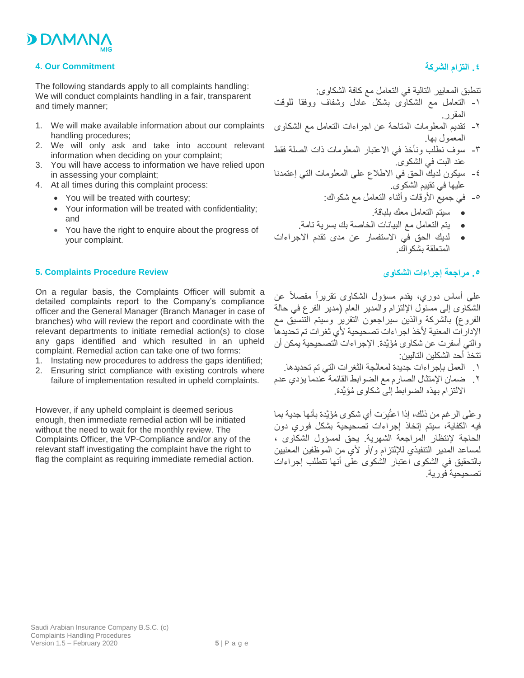

### **4. Our Commitment**

The following standards apply to all complaints handling: We will conduct complaints handling in a fair, transparent and timely manner;

- 1. We will make available information about our complaints handling procedures;
- 2. We will only ask and take into account relevant information when deciding on your complaint;
- 3. You will have access to information we have relied upon in assessing your complaint;
- 4. At all times during this complaint process:
	- You will be treated with courtesy;
	- Your information will be treated with confidentiality; and
	- You have the right to enquire about the progress of your complaint.

#### **5. Complaints Procedure Review**

On a regular basis, the Complaints Officer will submit a detailed complaints report to the Company's compliance officer and the General Manager (Branch Manager in case of branches) who will review the report and coordinate with the relevant departments to initiate remedial action(s) to close any gaps identified and which resulted in an upheld complaint. Remedial action can take one of two forms:

- 1. Instating new procedures to address the gaps identified;
- 2. Ensuring strict compliance with existing controls where failure of implementation resulted in upheld complaints.

However, if any upheld complaint is deemed serious enough, then immediate remedial action will be initiated without the need to wait for the monthly review. The Complaints Officer, the VP-Compliance and/or any of the relevant staff investigating the complaint have the right to flag the complaint as requiring immediate remedial action.

## **.4 التزام الشركة**

تنطبق المعايير التالية في التعامل مع كافة الشكاوى:

- -1 التعامل مع الشكاوى بشكل عادل وشفاف ووفقا للوقت المقرر.
- -2 تقديم المعلومات المتاحة عن اجراءات التعامل مع الشكاوى المعمول بها.
- -3 سوف نطلب ونأخذ في االعتبار المعلومات ذات الصلة فقط عند البت في الشكوى.
- -4 سيكون لديك الحق في االطالع على المعلومات التي إعتمدنا عليها في تقييم الشكوى.
	- -5 في جميع األوقات وأثناء التعامل مع شكواك:
		- سيتم التعامل معك بلباقة.
	- يتم التعامل مع البيانات الخاصة بك بسرية تامة.
- لديك الحق في االستفسار عن مدى تقدم االجراءات المتعلقة بشكواك.

# **.5 مراجعة إجراءات الشكاوى**

على أساس دوري، يقدم مسؤول الشكاوى تقريراً مفصالً عن الشكاوى إلى مسئول اإللتزام والمدير العام )مدير الفرع في حالة الفروع) بالشركة والذين سيراجعون التقرير وسيتم التنسيق مع الإدار ات المعنية لأخذ اجر اءات تصحيحية لأي ثغر ات تم تحديدها والتي أسفرت عن شكاوى ُمَؤيَّدة. اإلجراءات التصحيحية يمكن أن تتخذ أحد الشكلين التاليين:

- .1 العمل بإجراءات جديدة لمعالجة الثغرات التي تم تحديدها.
- .2 ضمان اإلمتثال الصارم مع الضوابط القائمة عندما يؤدي عدم االلتزام بهذه الضوابط إلى شكاوى ُمَؤيَّدة.

و على الر غم من ذلك، إذا اعتُبِرَ ت أي شكوى مُؤيَّدة بأنها جدية بما فيه الكفاية، سيتم إتخاذ إجراءات تصحيحية بشكل فوري دون الحاجة إلنتظار المراجعة الشهرية. يحق لمسؤول الشكاوى ، لمساعد المدير التنفيذي لإللتزام و/أو ألي من الموظفين المعنيين بالتحقيق في الشكوى اعتبار الشكوى على أنها تتطلب إجراءات تصحيحية فورية.